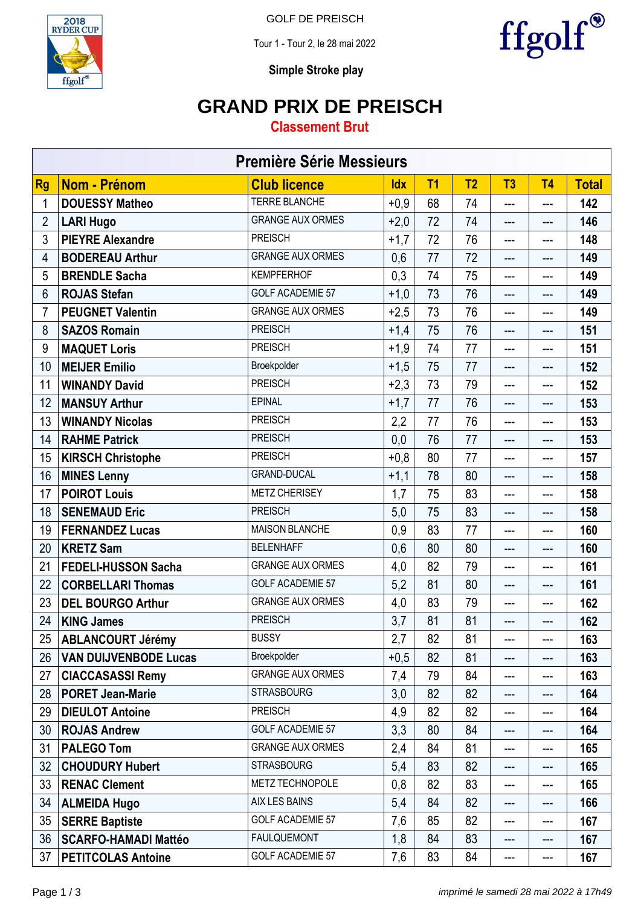

GOLF DE PREISCH

Tour 1 - Tour 2, le 28 mai 2022



**Simple Stroke play**

### **GRAND PRIX DE PREISCH**

#### **Classement Brut**

| <b>Première Série Messieurs</b> |                              |                         |            |                |                |                |                            |              |  |
|---------------------------------|------------------------------|-------------------------|------------|----------------|----------------|----------------|----------------------------|--------------|--|
| <b>Rg</b>                       | <b>Nom - Prénom</b>          | <b>Club licence</b>     | <b>Idx</b> | T <sub>1</sub> | T <sub>2</sub> | T <sub>3</sub> | T <sub>4</sub>             | <b>Total</b> |  |
| 1                               | <b>DOUESSY Matheo</b>        | <b>TERRE BLANCHE</b>    | $+0,9$     | 68             | 74             | $---$          | ---                        | 142          |  |
| $\overline{2}$                  | <b>LARI Hugo</b>             | <b>GRANGE AUX ORMES</b> | $+2,0$     | 72             | 74             | ---            | ---                        | 146          |  |
| 3                               | <b>PIEYRE Alexandre</b>      | <b>PREISCH</b>          | $+1,7$     | 72             | 76             | ---            | ---                        | 148          |  |
| 4                               | <b>BODEREAU Arthur</b>       | <b>GRANGE AUX ORMES</b> | 0,6        | 77             | 72             | ---            | ---                        | 149          |  |
| 5                               | <b>BRENDLE Sacha</b>         | <b>KEMPFERHOF</b>       | 0,3        | 74             | 75             | ---            | $\qquad \qquad \text{---}$ | 149          |  |
| 6                               | <b>ROJAS Stefan</b>          | <b>GOLF ACADEMIE 57</b> | $+1,0$     | 73             | 76             | $---$          | ---                        | 149          |  |
| 7                               | <b>PEUGNET Valentin</b>      | <b>GRANGE AUX ORMES</b> | $+2,5$     | 73             | 76             | ---            | ---                        | 149          |  |
| 8                               | <b>SAZOS Romain</b>          | <b>PREISCH</b>          | $+1,4$     | 75             | 76             | ---            | ---                        | 151          |  |
| 9                               | <b>MAQUET Loris</b>          | <b>PREISCH</b>          | $+1,9$     | 74             | 77             | ---            | ---                        | 151          |  |
| 10                              | <b>MEIJER Emilio</b>         | Broekpolder             | $+1,5$     | 75             | 77             | ---            | ---                        | 152          |  |
| 11                              | <b>WINANDY David</b>         | <b>PREISCH</b>          | $+2,3$     | 73             | 79             | ---            | ---                        | 152          |  |
| 12                              | <b>MANSUY Arthur</b>         | <b>EPINAL</b>           | $+1,7$     | 77             | 76             | ---            | ---                        | 153          |  |
| 13                              | <b>WINANDY Nicolas</b>       | <b>PREISCH</b>          | 2,2        | 77             | 76             | ---            | ---                        | 153          |  |
| 14                              | <b>RAHME Patrick</b>         | <b>PREISCH</b>          | 0,0        | 76             | 77             | ---            | ---                        | 153          |  |
| 15                              | <b>KIRSCH Christophe</b>     | <b>PREISCH</b>          | $+0,8$     | 80             | 77             | ---            | ---                        | 157          |  |
| 16                              | <b>MINES Lenny</b>           | <b>GRAND-DUCAL</b>      | $+1,1$     | 78             | 80             | ---            | ---                        | 158          |  |
| 17                              | <b>POIROT Louis</b>          | <b>METZ CHERISEY</b>    | 1,7        | 75             | 83             | ---            | $---$                      | 158          |  |
| 18                              | <b>SENEMAUD Eric</b>         | <b>PREISCH</b>          | 5,0        | 75             | 83             | ---            | ---                        | 158          |  |
| 19                              | <b>FERNANDEZ Lucas</b>       | <b>MAISON BLANCHE</b>   | 0,9        | 83             | 77             | ---            | ---                        | 160          |  |
| 20                              | <b>KRETZ Sam</b>             | <b>BELENHAFF</b>        | 0,6        | 80             | 80             | ---            | ---                        | 160          |  |
| 21                              | FEDELI-HUSSON Sacha          | <b>GRANGE AUX ORMES</b> | 4,0        | 82             | 79             | ---            | $---$                      | 161          |  |
| 22                              | <b>CORBELLARI Thomas</b>     | <b>GOLF ACADEMIE 57</b> | 5,2        | 81             | 80             | $---$          | ---                        | 161          |  |
| 23                              | <b>DEL BOURGO Arthur</b>     | <b>GRANGE AUX ORMES</b> | 4,0        | 83             | 79             | ---            | ---                        | 162          |  |
| 24                              | <b>KING James</b>            | <b>PREISCH</b>          | 3,7        | 81             | 81             | ---            | ---                        | 162          |  |
| 25                              | <b>ABLANCOURT Jérémy</b>     | <b>BUSSY</b>            | 2,7        | 82             | 81             | ---            | $---$                      | 163          |  |
| 26                              | <b>VAN DUIJVENBODE Lucas</b> | Broekpolder             | $+0,5$     | 82             | 81             | ---            | $---$                      | 163          |  |
| 27                              | <b>CIACCASASSI Remy</b>      | <b>GRANGE AUX ORMES</b> | 7,4        | 79             | 84             | ---            | ---                        | 163          |  |
| 28                              | <b>PORET Jean-Marie</b>      | <b>STRASBOURG</b>       | 3,0        | 82             | 82             | ---            | ---                        | 164          |  |
| 29                              | <b>DIEULOT Antoine</b>       | <b>PREISCH</b>          | 4,9        | 82             | 82             | ---            | $---$                      | 164          |  |
| 30                              | <b>ROJAS Andrew</b>          | <b>GOLF ACADEMIE 57</b> | 3,3        | 80             | 84             | ---            | ---                        | 164          |  |
| 31                              | <b>PALEGO Tom</b>            | <b>GRANGE AUX ORMES</b> | 2,4        | 84             | 81             | ---            | ---                        | 165          |  |
| 32                              | <b>CHOUDURY Hubert</b>       | <b>STRASBOURG</b>       | 5,4        | 83             | 82             | ---            | ---                        | 165          |  |
| 33                              | <b>RENAC Clement</b>         | METZ TECHNOPOLE         | 0,8        | 82             | 83             | ---            | $---$                      | 165          |  |
| 34                              | <b>ALMEIDA Hugo</b>          | AIX LES BAINS           | 5,4        | 84             | 82             | ---            | ---                        | 166          |  |
| 35                              | <b>SERRE Baptiste</b>        | <b>GOLF ACADEMIE 57</b> | 7,6        | 85             | 82             | ---            | ---                        | 167          |  |
| 36                              | <b>SCARFO-HAMADI Mattéo</b>  | <b>FAULQUEMONT</b>      | 1,8        | 84             | 83             | ---            | ---                        | 167          |  |
| 37                              | <b>PETITCOLAS Antoine</b>    | GOLF ACADEMIE 57        | 7,6        | 83             | 84             | ---            | $\qquad \qquad \text{---}$ | 167          |  |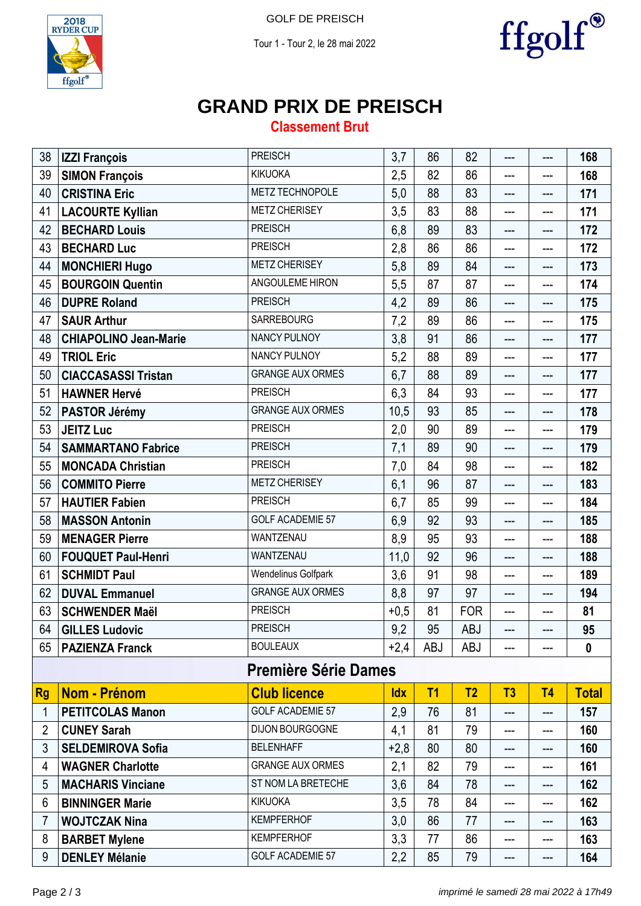Tour 1 - Tour 2, le 28 mai 2022



ffgolf®

# **GRAND PRIX DE PREISCH**

### **Classement Brut**

| 38             | <b>IZZI François</b>         | <b>PREISCH</b>             | 3,7        | 86         | 82             | ---                        | ---            | 168          |  |  |
|----------------|------------------------------|----------------------------|------------|------------|----------------|----------------------------|----------------|--------------|--|--|
| 39             | <b>SIMON François</b>        | <b>KIKUOKA</b>             | 2,5        | 82         | 86             | ---                        | ---            | 168          |  |  |
| 40             | <b>CRISTINA Eric</b>         | <b>METZ TECHNOPOLE</b>     | 5,0        | 88         | 83             | $---$                      | ---            | 171          |  |  |
| 41             | <b>LACOURTE Kyllian</b>      | <b>METZ CHERISEY</b>       | 3,5        | 83         | 88             | ---                        | ---            | 171          |  |  |
| 42             | <b>BECHARD Louis</b>         | <b>PREISCH</b>             | 6,8        | 89         | 83             | ---                        | ---            | 172          |  |  |
| 43             | <b>BECHARD Luc</b>           | <b>PREISCH</b>             | 2,8        | 86         | 86             | ---                        | ---            | 172          |  |  |
| 44             | <b>MONCHIERI Hugo</b>        | <b>METZ CHERISEY</b>       | 5,8        | 89         | 84             | ---                        | ---            | 173          |  |  |
| 45             | <b>BOURGOIN Quentin</b>      | ANGOULEME HIRON            | 5,5        | 87         | 87             | ---                        | ---            | 174          |  |  |
| 46             | <b>DUPRE Roland</b>          | <b>PREISCH</b>             | 4,2        | 89         | 86             | ---                        | ---            | 175          |  |  |
| 47             | <b>SAUR Arthur</b>           | <b>SARREBOURG</b>          | 7,2        | 89         | 86             | $---$                      | ---            | 175          |  |  |
| 48             | <b>CHIAPOLINO Jean-Marie</b> | <b>NANCY PULNOY</b>        | 3,8        | 91         | 86             | ---                        | ---            | 177          |  |  |
| 49             | <b>TRIOL Eric</b>            | NANCY PULNOY               | 5,2        | 88         | 89             | ---                        | ---            | 177          |  |  |
| 50             | <b>CIACCASASSI Tristan</b>   | <b>GRANGE AUX ORMES</b>    | 6,7        | 88         | 89             | ---                        | ---            | 177          |  |  |
| 51             | <b>HAWNER Hervé</b>          | <b>PREISCH</b>             | 6,3        | 84         | 93             | ---                        | ---            | 177          |  |  |
| 52             | <b>PASTOR Jérémy</b>         | <b>GRANGE AUX ORMES</b>    | 10,5       | 93         | 85             | ---                        | ---            | 178          |  |  |
| 53             | <b>JEITZ Luc</b>             | <b>PREISCH</b>             | 2,0        | 90         | 89             | ---                        | ---            | 179          |  |  |
| 54             | <b>SAMMARTANO Fabrice</b>    | <b>PREISCH</b>             | 7,1        | 89         | 90             | ---                        | ---            | 179          |  |  |
| 55             | <b>MONCADA Christian</b>     | <b>PREISCH</b>             | 7,0        | 84         | 98             | ---                        | ---            | 182          |  |  |
| 56             | <b>COMMITO Pierre</b>        | <b>METZ CHERISEY</b>       | 6,1        | 96         | 87             | ---                        | ---            | 183          |  |  |
| 57             | <b>HAUTIER Fabien</b>        | <b>PREISCH</b>             | 6,7        | 85         | 99             | ---                        | ---            | 184          |  |  |
| 58             | <b>MASSON Antonin</b>        | <b>GOLF ACADEMIE 57</b>    | 6,9        | 92         | 93             | ---                        | ---            | 185          |  |  |
| 59             | <b>MENAGER Pierre</b>        | WANTZENAU                  | 8,9        | 95         | 93             | ---                        | ---            | 188          |  |  |
| 60             | <b>FOUQUET Paul-Henri</b>    | WANTZENAU                  | 11,0       | 92         | 96             | ---                        | ---            | 188          |  |  |
| 61             | <b>SCHMIDT Paul</b>          | <b>Wendelinus Golfpark</b> | 3,6        | 91         | 98             | ---                        | ---            | 189          |  |  |
| 62             | <b>DUVAL Emmanuel</b>        | <b>GRANGE AUX ORMES</b>    | 8,8        | 97         | 97             | ---                        | $---$          | 194          |  |  |
| 63             | <b>SCHWENDER Maël</b>        | <b>PREISCH</b>             | $+0,5$     | 81         | <b>FOR</b>     | ---                        | ---            | 81           |  |  |
| 64             | <b>GILLES Ludovic</b>        | <b>PREISCH</b>             | 9,2        | 95         | <b>ABJ</b>     | $---$                      | ---            | 95           |  |  |
| 65             | <b>PAZIENZA Franck</b>       | <b>BOULEAUX</b>            | $+2,4$     | <b>ABJ</b> | ABJ            |                            |                | $\mathbf{0}$ |  |  |
|                | <b>Première Série Dames</b>  |                            |            |            |                |                            |                |              |  |  |
| <b>Rg</b>      | <b>Nom - Prénom</b>          | <b>Club licence</b>        | <b>Idx</b> | T1         | T <sub>2</sub> | T3                         | T <sub>4</sub> | <b>Total</b> |  |  |
| 1              | <b>PETITCOLAS Manon</b>      | <b>GOLF ACADEMIE 57</b>    | 2,9        | 76         | 81             | ---                        | ---            | 157          |  |  |
| $\overline{2}$ | <b>CUNEY Sarah</b>           | <b>DIJON BOURGOGNE</b>     | 4,1        | 81         | 79             | ---                        | ---            | 160          |  |  |
| 3              | <b>SELDEMIROVA Sofia</b>     | <b>BELENHAFF</b>           | $+2,8$     | 80         | 80             | $---$                      | ---            | 160          |  |  |
| 4              | <b>WAGNER Charlotte</b>      | <b>GRANGE AUX ORMES</b>    | 2,1        | 82         | 79             | ---                        | ---            | 161          |  |  |
| 5              | <b>MACHARIS Vinciane</b>     | ST NOM LA BRETECHE         | 3,6        | 84         | 78             | ---                        | ---            | 162          |  |  |
| 6              | <b>BINNINGER Marie</b>       | <b>KIKUOKA</b>             | 3,5        | 78         | 84             | ---                        | ---            | 162          |  |  |
| 7              | <b>WOJTCZAK Nina</b>         | <b>KEMPFERHOF</b>          | 3,0        | 86         | 77             | ---                        | ---            | 163          |  |  |
| 8              | <b>BARBET Mylene</b>         | <b>KEMPFERHOF</b>          | 3,3        | 77         | 86             | ---                        | ---            | 163          |  |  |
| 9              | <b>DENLEY Mélanie</b>        | <b>GOLF ACADEMIE 57</b>    | 2,2        | 85         | 79             | $\qquad \qquad \text{---}$ | ---            | 164          |  |  |